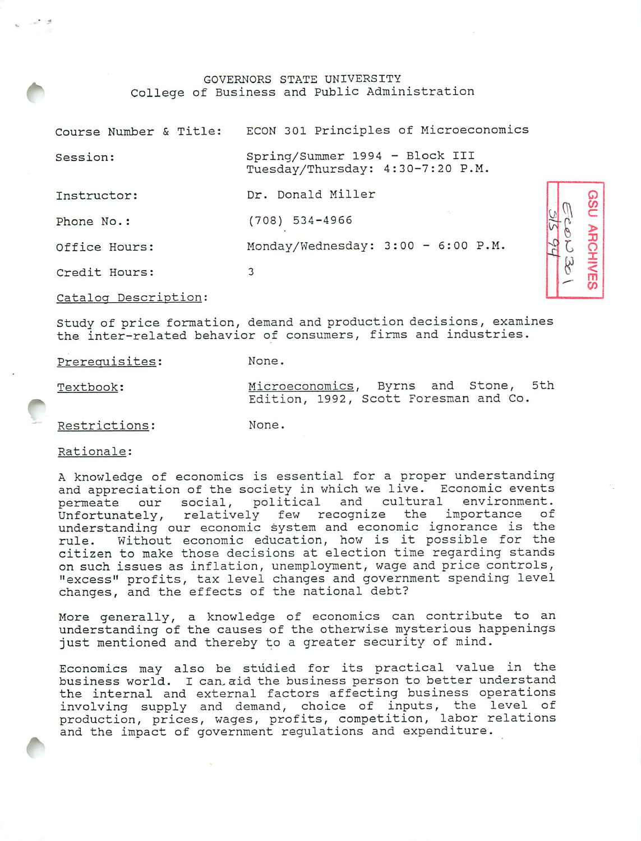## GOVERNORS STATE UNIVERSITY College of Business and Public Administration

| Course Number & Title: | ECON 301 Principles of Microeconomics                              |
|------------------------|--------------------------------------------------------------------|
| Session:               | Spring/Summer 1994 - Block III<br>Tuesday/Thursday: 4:30-7:20 P.M. |
| Instructor:            | Dr. Donald Miller                                                  |
| Phone No.:             | $(708)$ 534-4966                                                   |
| Office Hours:          | Monday/Wednesday: 3:00 - 6:00 P.M.                                 |
| Credit Hours:          | 3                                                                  |
| Catalog Description:   |                                                                    |
|                        |                                                                    |

**ARCHIVES** 

SOS

Study of price formation, demand and production decisions, examines the inter-related behavior of consumers, firms and industries.

| Prerequisites: | None.                                                                         |
|----------------|-------------------------------------------------------------------------------|
| Textbook:      | Microeconomics, Byrns and Stone, 5th<br>Edition, 1992, Scott Foresman and Co. |
| Restrictions:  | None.                                                                         |

Rationale:

A knowledge of economics is essential for a proper understanding and appreciation of the society in which we live. Economic events permeate our social, political and cultural environment. Unfortunately, relatively few recognize the importance of understanding our economic system and economic ignorance is the rule. Without economic education, how is it possible for the citizen to make those decisions at election time regarding stands on such issues as inflation, unemployment, wage and price controls, "excess" profits, tax level changes and government spending level changes, and the effects of the national debt?

More generally, a knowledge of economics can contribute to an understanding of the causes of the otherwise mysterious happenings just mentioned and thereby to a greater security of mind.

Economics may also be studied for its practical value in the business world. I can. aid the business person to better understand the internal and external factors affecting business operations involving supply and demand, choice of inputs, the level of production, prices, wages, profits, competition, labor relations and the impact of government regulations and expenditure.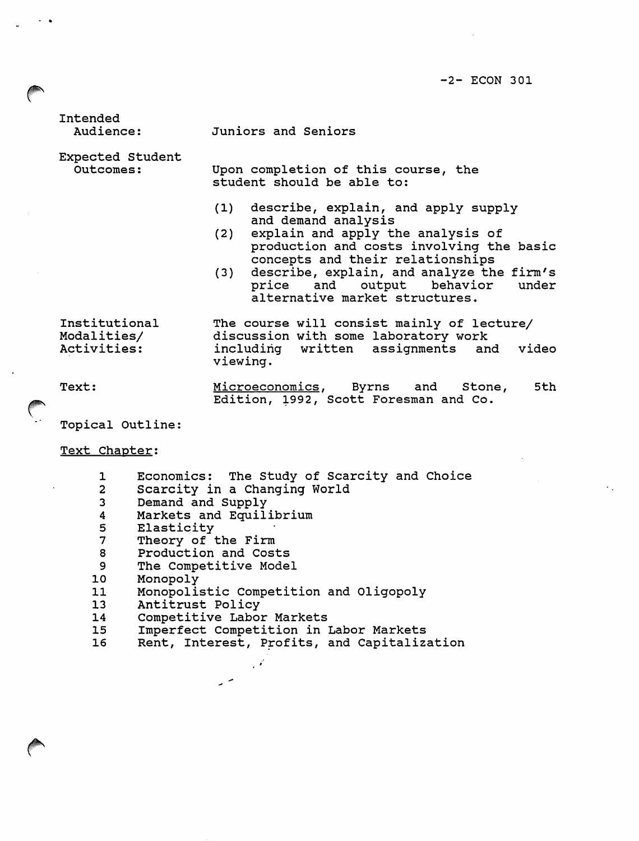-2- ECON 301

Intended Audience:

Juniors and Seniors

Expected Student Outcomes:

Upon completion of this course, the student should be able to:

- (1) describe, explain, and apply supply and demand analysis
- (2) explain and apply the analysis of production and costs involving the basic concepts and their relationships
- (3) describe, explain, and analyze the firm's price and output behavior under alternative market structures.

Institutional Modalities/ Activities:

The course will consist mainly of lecture/ discussion with some laboratory work<br>including written assignments and assignments and video viewing.

Text: Microeconomics, Byrns and Stone, Edition, 1992, Scott Foresman and Co. 5th

Topical Outline:

Text Chapter:

- 1 Economics: The Study of Scarcity and Choice
- 2 Scarcity in a Changing World
- 3 Demand and Supply
- 4 Markets and Equilibrium<br>5 Elasticity
- 
- 5 Elasticity<br>7 Theory of 7 Theory of the Firm<br>8 Production and Cost
- Production and Costs
- 9 The Competitive Model
- 10 Monopoly<br>11 Monopoli
- 11 Monopolistic Competition and Oligopoly<br>13 Antitrust Policy
- 13 Antitrust Policy<br>14 Competitive Labor
- 14 Competitive Labor Markets<br>15 Imperfect Competition in 1

 $\overline{a}$ 

15 Imperfect Competition in Labor Markets<br>16 Rent, Interest, Profits, and Capitaliza

 $\mathcal{L}$ 

Rent, Interest, Profits, and Capitalization